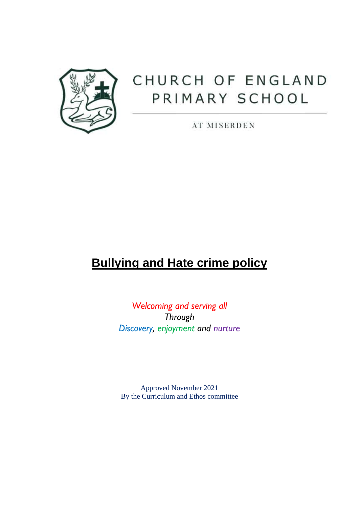

# CHURCH OF ENGLAND PRIMARY SCHOOL

**AT MISERDEN** 

## **Bullying and Hate crime policy**

*Welcoming and serving all Through Discovery, enjoyment and nurture*

Approved November 2021 By the Curriculum and Ethos committee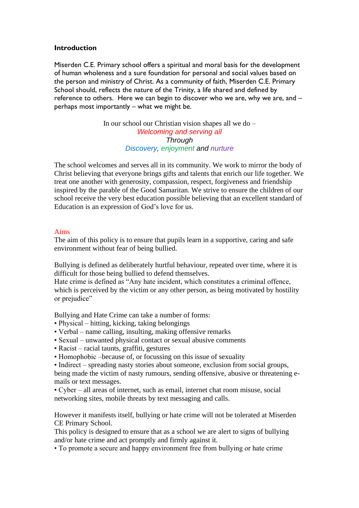#### **Introduction**

Miserden C.E. Primary school offers a spiritual and moral basis for the development of human wholeness and a sure foundation for personal and social values based on the person and ministry of Christ. As a community of faith, Miserden C.E. Primary School should, reflects the nature of the Trinity, a life shared and defined by reference to others. Here we can begin to discover who we are, why we are, and – perhaps most importantly – what we might be.

> In our school our Christian vision shapes all we do – *Welcoming and serving all Through Discovery, enjoyment and nurture*

The school welcomes and serves all in its community. We work to mirror the body of Christ believing that everyone brings gifts and talents that enrich our life together. We treat one another with generosity, compassion, respect, forgiveness and friendship inspired by the parable of the Good Samaritan. We strive to ensure the children of our school receive the very best education possible believing that an excellent standard of Education is an expression of God's love for us.

### Aims

The aim of this policy is to ensure that pupils learn in a supportive, caring and safe environment without fear of being bullied.

Bullying is defined as deliberately hurtful behaviour, repeated over time, where it is difficult for those being bullied to defend themselves.

Hate crime is defined as "Any hate incident, which constitutes a criminal offence, which is perceived by the victim or any other person, as being motivated by hostility or prejudice"

Bullying and Hate Crime can take a number of forms:

- Physical hitting, kicking, taking belongings
- Verbal name calling, insulting, making offensive remarks
- Sexual unwanted physical contact or sexual abusive comments
- Racist racial taunts, graffiti, gestures
- Homophobic –because of, or focussing on this issue of sexuality

• Indirect – spreading nasty stories about someone, exclusion from social groups, being made the victim of nasty rumours, sending offensive, abusive or threatening emails or text messages.

• Cyber – all areas of internet, such as email, internet chat room misuse, social networking sites, mobile threats by text messaging and calls.

However it manifests itself, bullying or hate crime will not be tolerated at Miserden CE Primary School.

This policy is designed to ensure that as a school we are alert to signs of bullying and/or hate crime and act promptly and firmly against it.

• To promote a secure and happy environment free from bullying or hate crime